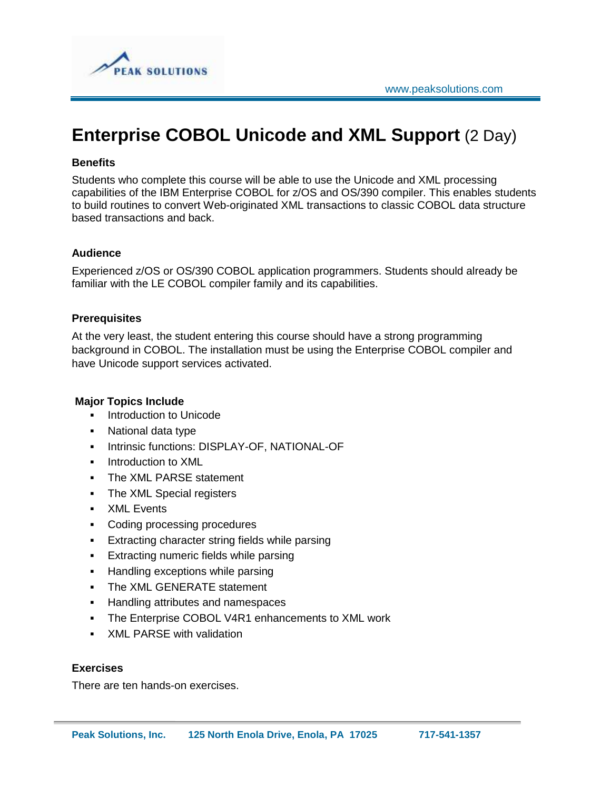

# **Enterprise COBOL Unicode and XML Support** (2 Day)

# **Benefits**

Students who complete this course will be able to use the Unicode and XML processing capabilities of the IBM Enterprise COBOL for z/OS and OS/390 compiler. This enables students to build routines to convert Web-originated XML transactions to classic COBOL data structure based transactions and back.

# **Audience**

Experienced z/OS or OS/390 COBOL application programmers. Students should already be familiar with the LE COBOL compiler family and its capabilities.

# **Prerequisites**

At the very least, the student entering this course should have a strong programming background in COBOL. The installation must be using the Enterprise COBOL compiler and have Unicode support services activated.

### **Major Topics Include**

- **Introduction to Unicode**
- National data type
- **Intrinsic functions: DISPLAY-OF, NATIONAL-OF**
- **Introduction to XML**
- **The XML PARSE statement**
- **The XML Special registers**
- **XML** Events
- Coding processing procedures
- **Extracting character string fields while parsing**
- **Extracting numeric fields while parsing**
- Handling exceptions while parsing
- The XML GENERATE statement
- **Handling attributes and namespaces**
- The Enterprise COBOL V4R1 enhancements to XML work
- XML PARSE with validation

#### **Exercises**

There are ten hands-on exercises.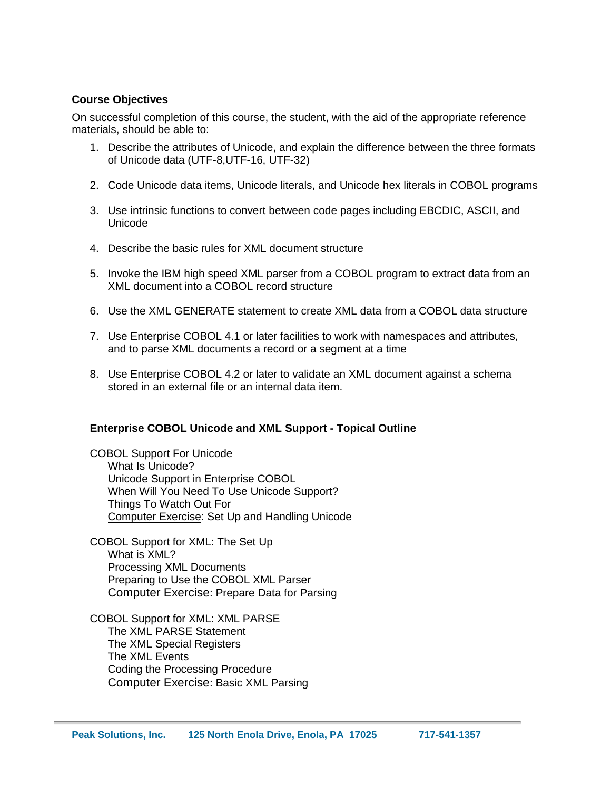# **Course Objectives**

On successful completion of this course, the student, with the aid of the appropriate reference materials, should be able to:

- 1. Describe the attributes of Unicode, and explain the difference between the three formats of Unicode data (UTF-8,UTF-16, UTF-32)
- 2. Code Unicode data items, Unicode literals, and Unicode hex literals in COBOL programs
- 3. Use intrinsic functions to convert between code pages including EBCDIC, ASCII, and Unicode
- 4. Describe the basic rules for XML document structure
- 5. Invoke the IBM high speed XML parser from a COBOL program to extract data from an XML document into a COBOL record structure
- 6. Use the XML GENERATE statement to create XML data from a COBOL data structure
- 7. Use Enterprise COBOL 4.1 or later facilities to work with namespaces and attributes, and to parse XML documents a record or a segment at a time
- 8. Use Enterprise COBOL 4.2 or later to validate an XML document against a schema stored in an external file or an internal data item.

#### **Enterprise COBOL Unicode and XML Support - Topical Outline**

COBOL Support For Unicode What Is Unicode? Unicode Support in Enterprise COBOL When Will You Need To Use Unicode Support? Things To Watch Out For Computer Exercise: Set Up and Handling Unicode

COBOL Support for XML: The Set Up What is XML? Processing XML Documents Preparing to Use the COBOL XML Parser Computer Exercise: Prepare Data for Parsing

COBOL Support for XML: XML PARSE The XML PARSE Statement The XML Special Registers The XML Events Coding the Processing Procedure Computer Exercise: Basic XML Parsing